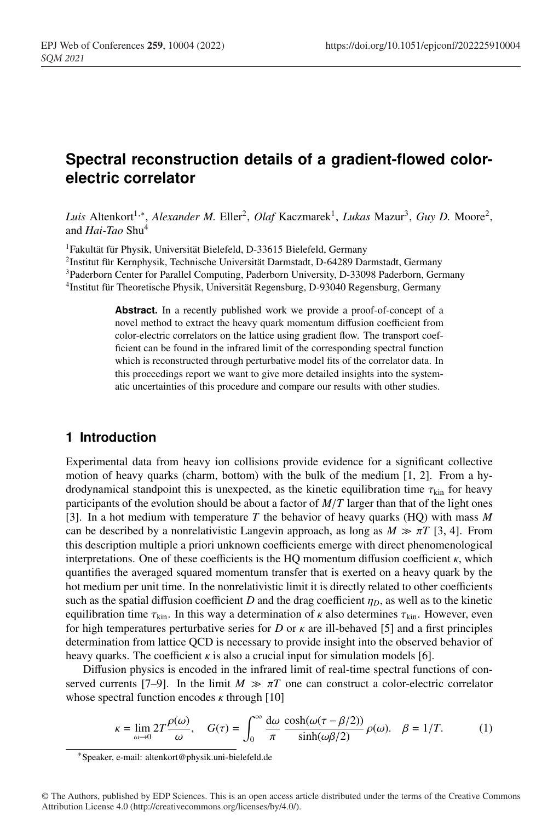# **Spectral reconstruction details of a gradient-flowed colorelectric correlator**

*Luis* Altenkort<sup>1,∗</sup>, *Alexander M.* Eller<sup>2</sup>, *Olaf* Kaczmarek<sup>1</sup>, *Lukas* Mazur<sup>3</sup>, *Guy D.* Moore<sup>2</sup>, and *Hai-Tao* Shu<sup>4</sup>

1Fakultät für Physik, Universität Bielefeld, D-33615 Bielefeld, Germany

2Institut für Kernphysik, Technische Universität Darmstadt, D-64289 Darmstadt, Germany

3Paderborn Center for Parallel Computing, Paderborn University, D-33098 Paderborn, Germany

4Institut für Theoretische Physik, Universität Regensburg, D-93040 Regensburg, Germany

Abstract. In a recently published work we provide a proof-of-concept of a novel method to extract the heavy quark momentum diffusion coefficient from color-electric correlators on the lattice using gradient flow. The transport coefficient can be found in the infrared limit of the corresponding spectral function which is reconstructed through perturbative model fits of the correlator data. In this proceedings report we want to give more detailed insights into the systematic uncertainties of this procedure and compare our results with other studies.

# **1 Introduction**

Experimental data from heavy ion collisions provide evidence for a significant collective motion of heavy quarks (charm, bottom) with the bulk of the medium [1, 2]. From a hydrodynamical standpoint this is unexpected, as the kinetic equilibration time  $\tau_{kin}$  for heavy participants of the evolution should be about a factor of *M*/*T* larger than that of the light ones [3]. In a hot medium with temperature *T* the behavior of heavy quarks (HQ) with mass *M* can be described by a nonrelativistic Langevin approach, as long as  $M \gg \pi T$  [3, 4]. From this description multiple a priori unknown coefficients emerge with direct phenomenological interpretations. One of these coefficients is the HQ momentum diffusion coefficient  $\kappa$ , which quantifies the averaged squared momentum transfer that is exerted on a heavy quark by the hot medium per unit time. In the nonrelativistic limit it is directly related to other coefficients such as the spatial diffusion coefficient *D* and the drag coefficient  $\eta_D$ , as well as to the kinetic equilibration time  $\tau_{kin}$ . In this way a determination of  $\kappa$  also determines  $\tau_{kin}$ . However, even for high temperatures perturbative series for *D* or  $\kappa$  are ill-behaved [5] and a first principles determination from lattice QCD is necessary to provide insight into the observed behavior of heavy quarks. The coefficient  $\kappa$  is also a crucial input for simulation models [6].

Diffusion physics is encoded in the infrared limit of real-time spectral functions of conserved currents [7–9]. In the limit  $M \gg \pi T$  one can construct a color-electric correlator whose spectral function encodes  $\kappa$  through [10]

$$
\kappa = \lim_{\omega \to 0} 2T \frac{\rho(\omega)}{\omega}, \quad G(\tau) = \int_0^\infty \frac{d\omega}{\pi} \frac{\cosh(\omega(\tau - \beta/2))}{\sinh(\omega\beta/2)} \rho(\omega). \quad \beta = 1/T. \tag{1}
$$

<sup>∗</sup>Speaker, e-mail: altenkort@physik.uni-bielefeld.de

<sup>©</sup> The Authors, published by EDP Sciences. This is an open access article distributed under the terms of the Creative Commons Attribution License 4.0 (http://creativecommons.org/licenses/by/4.0/).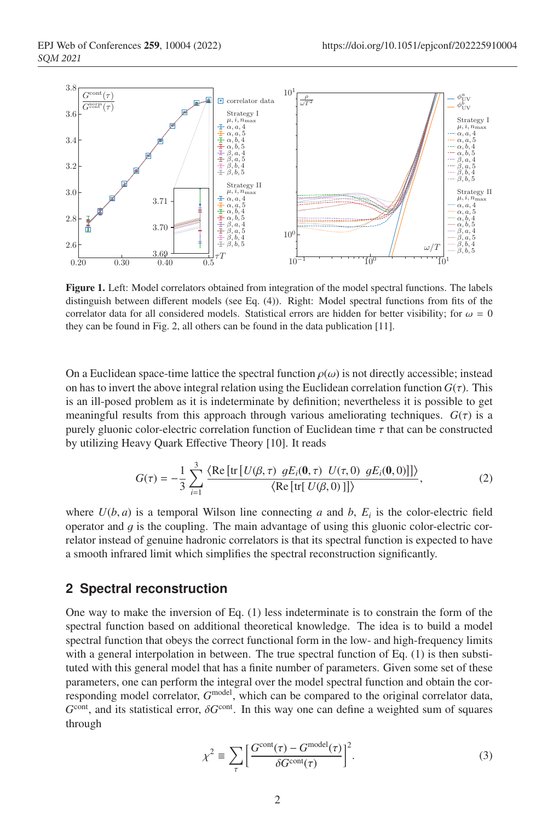

Figure 1. Left: Model correlators obtained from integration of the model spectral functions. The labels distinguish between different models (see Eq. (4)). Right: Model spectral functions from fits of the correlator data for all considered models. Statistical errors are hidden for better visibility; for  $\omega = 0$ they can be found in Fig. 2, all others can be found in the data publication [11].

On a Euclidean space-time lattice the spectral function  $\rho(\omega)$  is not directly accessible; instead on has to invert the above integral relation using the Euclidean correlation function  $G(\tau)$ . This is an ill-posed problem as it is indeterminate by definition; nevertheless it is possible to get meaningful results from this approach through various ameliorating techniques.  $G(\tau)$  is a purely gluonic color-electric correlation function of Euclidean time  $\tau$  that can be constructed by utilizing Heavy Quark Effective Theory [10]. It reads

$$
G(\tau) = -\frac{1}{3} \sum_{i=1}^{3} \frac{\langle \operatorname{Re} \left[ \operatorname{tr} \left[ U(\beta, \tau) \ g E_i(\mathbf{0}, \tau) \ U(\tau, 0) \ g E_i(\mathbf{0}, 0) \right] \right] \rangle}{\langle \operatorname{Re} \left[ \operatorname{tr} \left[ U(\beta, 0) \right] \right] \rangle}, \tag{2}
$$

where  $U(b, a)$  is a temporal Wilson line connecting *a* and *b*,  $E_i$  is the color-electric field operator and  $q$  is the coupling. The main advantage of using this gluonic color-electric correlator instead of genuine hadronic correlators is that its spectral function is expected to have a smooth infrared limit which simplifies the spectral reconstruction significantly.

# **2 Spectral reconstruction**

One way to make the inversion of Eq. (1) less indeterminate is to constrain the form of the spectral function based on additional theoretical knowledge. The idea is to build a model spectral function that obeys the correct functional form in the low- and high-frequency limits with a general interpolation in between. The true spectral function of Eq. (1) is then substituted with this general model that has a finite number of parameters. Given some set of these parameters, one can perform the integral over the model spectral function and obtain the corresponding model correlator,  $G^{\text{model}}$ , which can be compared to the original correlator data,  $G<sup>cont</sup>$ , and its statistical error,  $\delta G<sup>cont</sup>$ . In this way one can define a weighted sum of squares through

$$
\chi^2 \equiv \sum_{\tau} \left[ \frac{G^{\text{cont}}(\tau) - G^{\text{model}}(\tau)}{\delta G^{\text{cont}}(\tau)} \right]^2.
$$
 (3)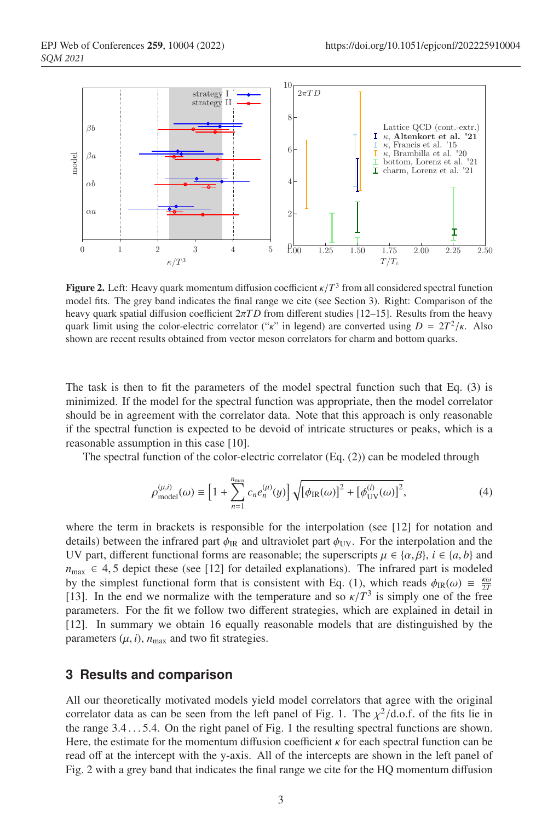

Figure 2. Left: Heavy quark momentum diffusion coefficient  $\kappa/T^3$  from all considered spectral function model fits. The grey band indicates the final range we cite (see Section 3). Right: Comparison of the heavy quark spatial diffusion coefficient 2π*T D* from different studies [12–15]. Results from the heavy quark limit using the color-electric correlator (" $\kappa$ " in legend) are converted using  $D = 2T^2/\kappa$ . Also shown are recent results obtained from vector meson correlators for charm and bottom quarks.

The task is then to fit the parameters of the model spectral function such that Eq. (3) is minimized. If the model for the spectral function was appropriate, then the model correlator should be in agreement with the correlator data. Note that this approach is only reasonable if the spectral function is expected to be devoid of intricate structures or peaks, which is a reasonable assumption in this case [10].

The spectral function of the color-electric correlator (Eq. (2)) can be modeled through

$$
\rho_{\text{model}}^{(\mu,i)}(\omega) \equiv \left[1 + \sum_{n=1}^{n_{\text{max}}} c_n e_n^{(\mu)}(y)\right] \sqrt{\left[\phi_{\text{IR}}(\omega)\right]^2 + \left[\phi_{\text{UV}}^{(i)}(\omega)\right]^2},\tag{4}
$$

where the term in brackets is responsible for the interpolation (see [12] for notation and details) between the infrared part  $\phi_{IR}$  and ultraviolet part  $\phi_{UV}$ . For the interpolation and the UV part, different functional forms are reasonable; the superscripts  $\mu \in \{\alpha, \beta\}, i \in \{a, b\}$  and  $n_{\text{max}} \in 4, 5$  depict these (see [12] for detailed explanations). The infrared part is modeled by the simplest functional form that is consistent with Eq. (1), which reads  $\phi_{\text{IR}}(\omega) = \frac{\kappa \omega}{2T}$ [13]. In the end we normalize with the temperature and so  $\kappa/T^3$  is simply one of the free parameters. For the fit we follow two different strategies, which are explained in detail in [12]. In summary we obtain 16 equally reasonable models that are distinguished by the parameters  $(\mu, i)$ ,  $n_{\text{max}}$  and two fit strategies.

#### **3 Results and comparison**

All our theoretically motivated models yield model correlators that agree with the original correlator data as can be seen from the left panel of Fig. 1. The  $\chi^2$ /d.o.f. of the fits lie in the range 3.4 ... 5.4. On the right panel of Fig. 1 the resulting spectral functions are shown. Here, the estimate for the momentum diffusion coefficient  $\kappa$  for each spectral function can be read off at the intercept with the y-axis. All of the intercepts are shown in the left panel of Fig. 2 with a grey band that indicates the final range we cite for the HQ momentum diffusion